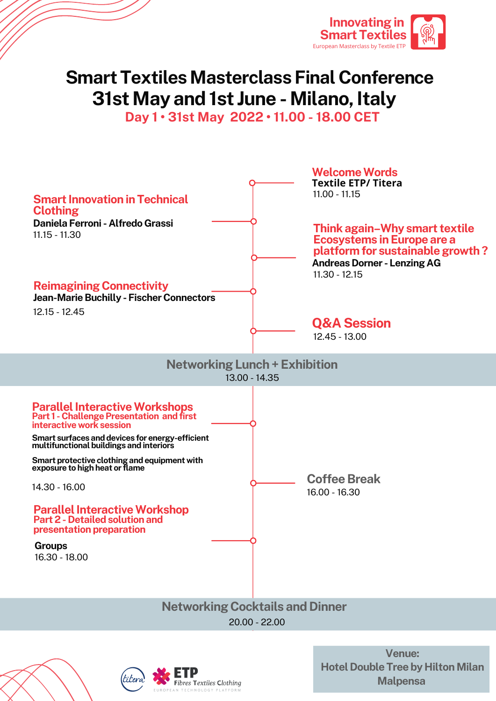

## **Smart Textiles Masterclass Final Conference 31st May and 1st June - Milano, Italy**

**Day 1 • 31st May 2022 • 11.00 - 18.00 CET**





**Venue: Hotel Double Tree by Hilton Milan Malpensa**